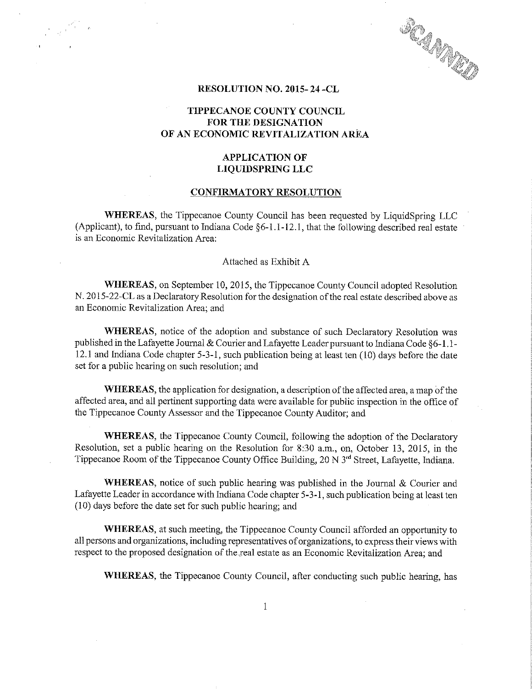**SCAMAND** 

### RESOLUTION NO. 2015- 24 -CL

 $\label{eq:2} \frac{1}{\sqrt{2}}\int_{0}^{\sqrt{2}}\frac{e^{2\pi i \left( \frac{2\pi}{\sqrt{2}}\right)}}{e^{2\pi i \left( \frac{2\pi}{\sqrt{2}}\right)}}\,d\mu.$ 

# TIPPECANOE COUNTY COUNCIL FOR THE DESIGNATION OF AN ECONOMIC REVITALIZATION AREA

# APPLICATION OF LIQUIDSPRING LLC

### CONFIRMATORY RESOLUTION

WHEREAS, the Tippecanoe County Council has been requested by LiquidSpring LLC (Applicant), to find, pursuant to Indiana Code  $\S6-1.1-12.1$ , that the following described real estate is an Economic Revitalization Area:

### Attached as Exhibit A

WHEREAS, on September 10, 2015, the Tippecanoe County Council adopted Resolution N. 2015-22-CL as a Declaratory Resolution for the designation of the real estate described above as an Economic Revitalization Area; and

WHEREAS, notice of the adoption and substance of such Declaratory Resolution was published in the Lafayette Journal & Courier and Lafayette Leader pursuant to Indiana Code §6-1.1-12.1 and Indiana Code chapter 5-3-1, such publication being at least ten (10) days before the date set for <sup>a</sup> public hearing on such resolution; and

WHEREAS, the application for designation, a description of the affected area, a map of the affected area, and all pertinent supporting data were available for public inspection in the office of the Tippecanoe County Assessor and the Tippecanoe County Auditor; and

WHEREAS, the Tippecanoe County Council, following the adoption of the Declaratory Resolution, set a public hearing on the Resolution for 8:30 a.m., on, October 13, 2015, in the Tippecanoe Room of the Tippecanoe County Office Building, 20 N 3<sup>rd</sup> Street, Lafayette, Indiana.

WHEREAS, notice of such public hearing was published in the Journal  $&$  Courier and Lafayette Leader in accordance with Indiana Code chapter 5-3-1, such publication being at least ten (10) days before the date set for such public hearing; and '

WHEREAS, at such meeting, the Tippecanoe County Council afforded an opportunity to all persons and organizations, including representatives of organizations, to express their views with respect to the proposed designation of the real estate as an Economic Revitalization Area; and

WHEREAS, the Tippecanoe County Council, after conducting such public hearing, has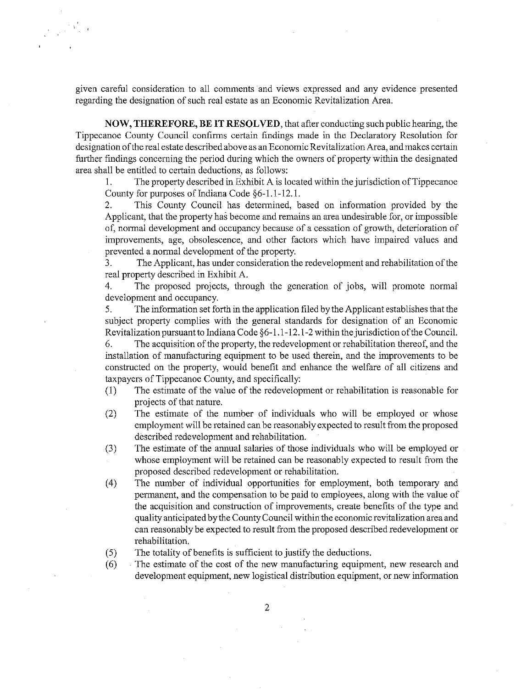given careful consideration to all comments and views expressed and any evidence presented regarding the designation of such real estate as an Economic Revitalization Area.

NOW, THEREFORE, BE IT RESOLVED, that after conducting such public hearing, the Tippecanoe County Council confirms certain findings made in the Declaratory Resolution for designation ofthe real estate described above as an Economic Revitalization Area, and makes certain firrther findings concerning the period during which the owners of property within the designated area shall be entitled to certain deductions, as follows:

 . The property described in Exhibit A is located within the jurisdiction ofTippecanoe County for purposes of Indiana Code  $§6-1.1-12.1$ .

2. This County Council has determined, based on information provided by the Applicant, that the property has become and remains an area undesirable for, or impossible of, normal development and occupancy because of <sup>a</sup> cessation of growth, deterioration of improvements, age, obsolescence, and other factors which have impaired values and prevented <sup>a</sup> normal development of the property.

3. The Applicant, has under consideration the redevelopment and rehabilitation of the real property described in Exhibit A.

4. The proposed projects, through the generation of jobs, will promote normal development and occupancy.

5. The information set forth in the application filed by the Applicant establishes that the subject property complies with the general standards for designation of an Economic Revitalization pursuant to Indiana Code §6-1.1-12.1-2 within the jurisdiction of the Council.

6. The acquisition of the property, the redevelopment or rehabilitation thereof, and the installation of manufacturing equipment to be used therein, and the improvements to be constructed on the preperty, would benefit and enhance the welfare of all citizens and taxpayers of Tippecanoe County, and specifically:<br>
(1) The estimate of the value of the redevelopment or rehabilitation is reasonable for

- projects of that nature.
- $(2)$  The estimate of the number of individuals who will be employed or whose employment will be retained can be reasonably expected to result from the proposed described redevelopment and rehabilitation.
- (3) The estimate of the annual salaries of those individuals who will be employed or whose employment will be retained can be reasonably expected to result from the proposed described redevelopment or rehabilitation.
- (4) The number of individual opportunities for employment, both temporary and permanent, and the compensation to be paid to employees, along with the value of the acquisition and construction of improvements, create benefits of the type and quality anticipated by the County Council within the economic revitalization area and can reasonably be expected to result from the proposed described redevelopment or rehabilitation. .
- (5) The totality of benefits is sufficient to justify the deductions.
- (6) The estimate of the cost of the new manufacturing equipment, new research and development equipment, new logistical distribution equipment, or new information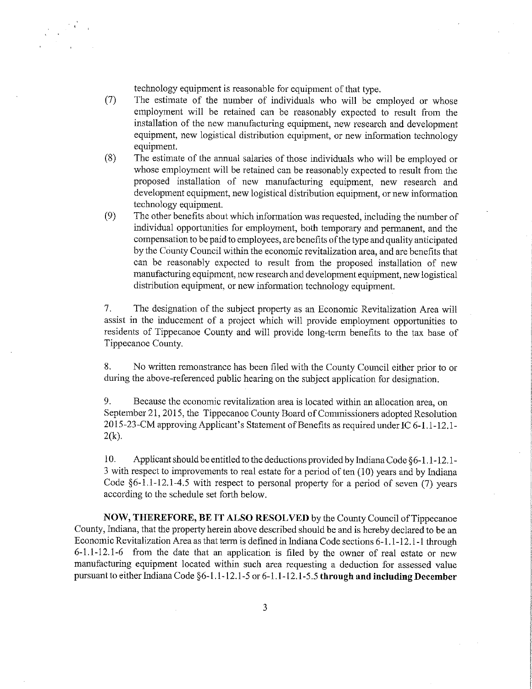technology equipment is reasonable for equipment of that type.

- ('7) The estimate of the number of individuals who will be employed or whose employment will be retained can be reasonably expected to result from the installation of the new manufacturing equipment, new research and development equipment, new logistical distribution equipment, or new information technology equipment.
- (8) The estimate of the annual salaries of those individuals who will be employed or whose employment will be retained can be reasonably expected to result from the proposed installation of new manufacturing equipment, new research and development equipment, new logistical distribution equipment, or new information technology equipment.
- (9) The other benefits about which information was requested, including the'number of individual opportunities for employment, both temporary and permanent, and the compensation to be paid to employees, are benefits of the type and quality anticipated by the COunty Council within the economic revitalization area, and are benefits that can be reasonably expected to result from the proposed installation of new manufacturing equipment, new research and development equipment, new logistical distribution equipment, or new information technology equipment.

7. The designation of the subject property as an Economic Revitalization Area will assist in the inducement of <sup>a</sup> project which will provide employment opportunities to residents of Tippecanoe County and will provide long—term benefits to the tax base of Tippecanoe County.

8. No written remonstrance has been filed with the County Council either prior to or during the above-referenced public hearing on the subject application for designation.

9. Because the economic revitalization area is located within an allocation area, on September 21, 2015, the Tippecanoe County Board of Commissioners adopted Resolution 2015-23-CM approving Applicant's Statement of Benefits as required under IC 6-1.1-12.1- $2(k)$ .

l0. Applicant should be entitled to the deductions provided by Indiana Code §6—l.l-12.1- <sup>3</sup> with respect to improvements to real estate for<sup>a</sup> period of ten (l0) years and by Indiana Code  $§6-1.1-12.1-4.5$  with respect to personal property for a period of seven (7) years according to the schedule set forth below.

NOW, THEREFORE, BE IT ALSO RESOLVED by the County Council ofTippecanoe County, Indiana, that the preperty herein above described should be and is hereby declared to be an Economic Revitalization Area as that term is defined in Indiana Code sections 6-1.1-12.1-1 through 6—1.1-12.l-6 from the date that an application is filed by the owner of real estate or new manufacturing equipment located within such area requesting <sup>a</sup> deduction for assessed value pursuant to either Indiana Code §6-1.1-12.1-5 or 6-1.1-12.1-5.5 through and including December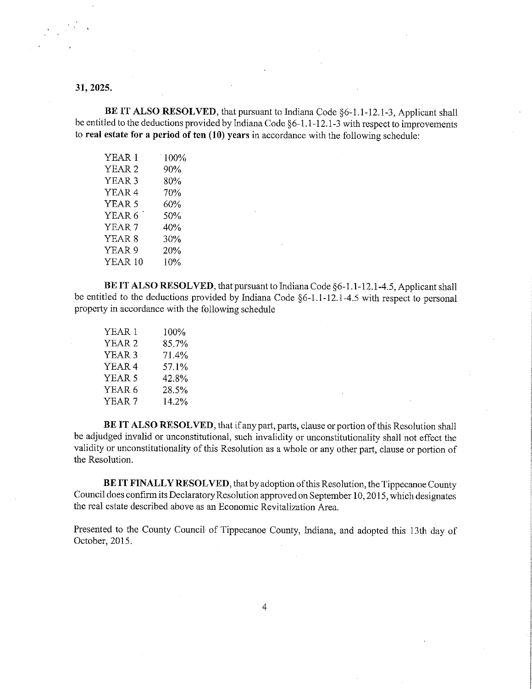# 31, 2025.

BE IT ALSO RESOLVED, that pursuant to Indiana Code §6-1.1-12.1-3, Applicant shall be entitled to the deductions provided by Indiana Code §6-1.1-12.1-3 with respect to improvements to real estate for a period of ten  $(10)$  years in accordance with the following schedule:

| YEAR 1            | 100% |
|-------------------|------|
| YEAR <sub>2</sub> | 90%  |
| YEAR <sub>3</sub> | 80%  |
| YEAR <sub>4</sub> | 70%  |
| YEAR <sub>5</sub> | 60%  |
| YEAR 6            | 50%  |
| YEAR <sub>7</sub> | 40%  |
| YEAR <sub>8</sub> | 30%  |
| YEAR <sub>9</sub> | 20%  |
| YEAR 10           | 10%  |

BE IT ALSO RESOLVED, that pursuant to Indiana Code §6-1.1-12.1-4.5, Applicant shall be entitled to the deductions provided by Indiana Code §6-1.1-12.1-4.5 with respect to personal property in accordance with the following schedule

| YEAR 1            | 100%  |  |
|-------------------|-------|--|
| YEAR <sub>2</sub> | 85.7% |  |
| YEAR <sub>3</sub> | 71.4% |  |
| YEAR <sub>4</sub> | 57.1% |  |
| YEAR 5            | 42.8% |  |
| YEAR 6            | 28.5% |  |
| YEAR <sub>7</sub> | 14.2% |  |

BE IT ALSO RESOLVED, that if any part, parts, clause or portion of this Resolution shall be adjudged invalid or unconstitutional, such invalidity or unconstitutionality shall not effect the validity or unconstitutionality of this Resolution as a whole or any other part, clause or portion of the Resolution.

BE IT FINALLY RESOLVED, that by adoption of this Resolution, the Tippecanoe County Council does confirm its Declaratory Resolution approved on September 10, 2015, which designates the real estate described above as an Economic Revitalization Area.

Presented to the County Council of Tippecanoe County, Indiana, and adopted this 13th day of October, 2015.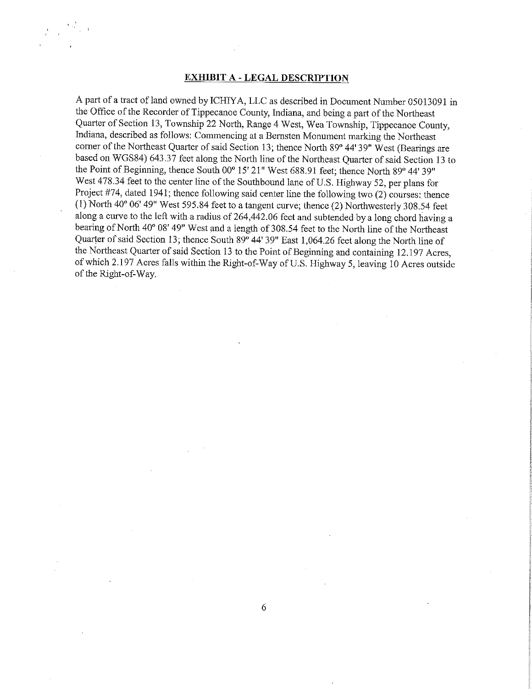### EXHIBIT A - LEGAL DESCRIPTION

<sup>A</sup> part of <sup>a</sup> tract of land owned by ICHIYA, LLC as described in Document Number 05013091 in the Office of the Recorder of Tippecanoe County, Indiana, and being a part of the Northeast Quarter of Section 13, Township <sup>22</sup> North, Range <sup>4</sup> West, Wea Township, Tippecanoe County, Indiana, described as follows: Commencing at <sup>a</sup> Bernsten Monument marking the Northeast corner of the Northeast Quarter of said Section 13; thence North 89" 44' 39" West (Bearings are based on WGS84) 643.37 feet along the North line of the Northeast Quarter of said Section <sup>13</sup> to the Point of Beginning, thence South 00° 15' 21" West 688.91 feet; thence North 89° 44' 39" West 478.34 feet to the center line of the Southbound lane of U.S. Highway 52, per plans for Project #74, dated 1941; thence following said center line the following two (2) courses; thence (1) North  $40^{\circ}$  06' 49" West 595.84 feet to a tangent curve; thence (2) Northwesterly 308.54 feet along <sup>a</sup> curve to the left with <sup>a</sup> radius of 264,442.06 feet and subtended by <sup>a</sup> long chord having <sup>a</sup> bearing of North 40° 08' 49" West and a length of 308.54 feet to the North line of the Northeast Quarter of said Section 13; thence South 89<sup>°</sup> 44' 39" East 1,064.26 feet along the North line of the Northeast Quarter of said Section 13 to the Point of Beginning and containing 12.197 Acres, of which 2.197 Acres falls within the Right-of—Way of US. Highway 5, leaving <sup>10</sup> Acres outside of the Right~of—Way. '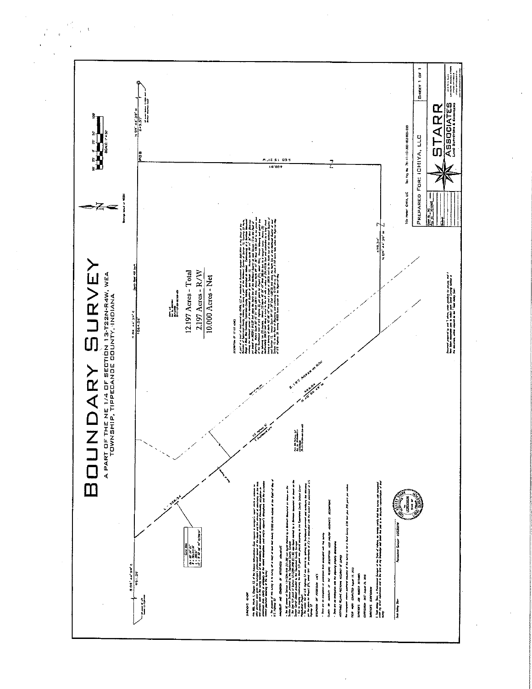